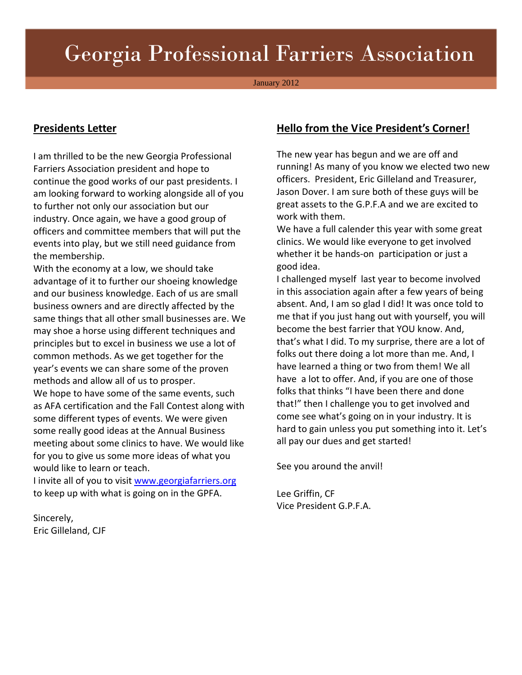# Georgia Professional Farriers Association

January 2012

#### **Presidents Letter**

I am thrilled to be the new Georgia Professional Farriers Association president and hope to continue the good works of our past presidents. I am looking forward to working alongside all of you to further not only our association but our industry. Once again, we have a good group of officers and committee members that will put the events into play, but we still need guidance from the membership.

With the economy at a low, we should take advantage of it to further our shoeing knowledge and our business knowledge. Each of us are small business owners and are directly affected by the same things that all other small businesses are. We may shoe a horse using different techniques and principles but to excel in business we use a lot of common methods. As we get together for the year's events we can share some of the proven methods and allow all of us to prosper. We hope to have some of the same events, such as AFA certification and the Fall Contest along with some different types of events. We were given some really good ideas at the Annual Business meeting about some clinics to have. We would like for you to give us some more ideas of what you would like to learn or teach.

I invite all of you to visit www.georgiafarriers.org to keep up with what is going on in the GPFA.

Sincerely, Eric Gilleland, CJF

### **Hello from the Vice President's Corner!**

The new year has begun and we are off and running! As many of you know we elected two new officers. President, Eric Gilleland and Treasurer, Jason Dover. I am sure both of these guys will be great assets to the G.P.F.A and we are excited to work with them.

We have a full calender this year with some great clinics. We would like everyone to get involved whether it be hands-on participation or just a good idea.

I challenged myself last year to become involved in this association again after a few years of being absent. And, I am so glad I did! It was once told to me that if you just hang out with yourself, you will become the best farrier that YOU know. And, that's what I did. To my surprise, there are a lot of folks out there doing a lot more than me. And, I have learned a thing or two from them! We all have a lot to offer. And, if you are one of those folks that thinks "I have been there and done that!" then I challenge you to get involved and come see what's going on in your industry. It is hard to gain unless you put something into it. Let's all pay our dues and get started!

See you around the anvil!

Lee Griffin, CF Vice President G.P.F.A.